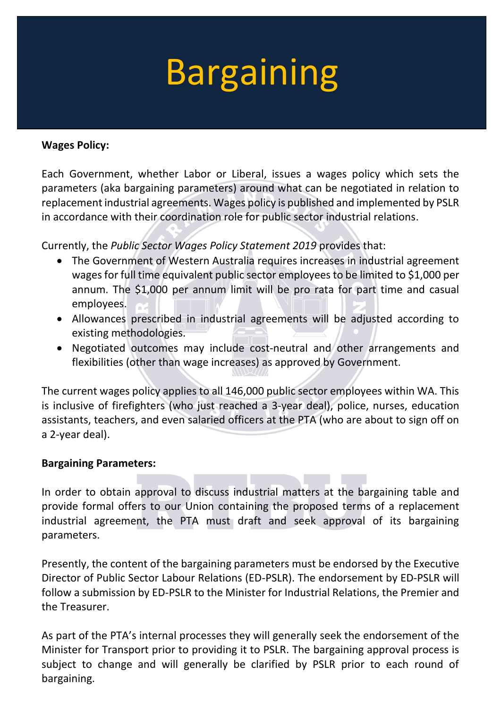# Bargaining

### **Wages Policy:**

Each Government, whether Labor or Liberal, issues a wages policy which sets the parameters (aka bargaining parameters) around what can be negotiated in relation to replacement industrial agreements. Wages policy is published and implemented by PSLR in accordance with their coordination role for public sector industrial relations.

Currently, the *Public Sector Wages Policy Statement 2019* provides that:

- The Government of Western Australia requires increases in industrial agreement wages for full time equivalent public sector employees to be limited to \$1,000 per annum. The \$1,000 per annum limit will be pro rata for part time and casual employees.
- Allowances prescribed in industrial agreements will be adjusted according to existing methodologies.
- Negotiated outcomes may include cost-neutral and other arrangements and flexibilities (other than wage increases) as approved by Government.

The current wages policy applies to all 146,000 public sector employees within WA. This is inclusive of firefighters (who just reached a 3-year deal), police, nurses, education assistants, teachers, and even salaried officers at the PTA (who are about to sign off on a 2-year deal).

#### **Bargaining Parameters:**

In order to obtain approval to discuss industrial matters at the bargaining table and provide formal offers to our Union containing the proposed terms of a replacement industrial agreement, the PTA must draft and seek approval of its bargaining parameters.

Presently, the content of the bargaining parameters must be endorsed by the Executive Director of Public Sector Labour Relations (ED-PSLR). The endorsement by ED-PSLR will follow a submission by ED-PSLR to the Minister for Industrial Relations, the Premier and the Treasurer.

As part of the PTA's internal processes they will generally seek the endorsement of the Minister for Transport prior to providing it to PSLR. The bargaining approval process is subject to change and will generally be clarified by PSLR prior to each round of bargaining.